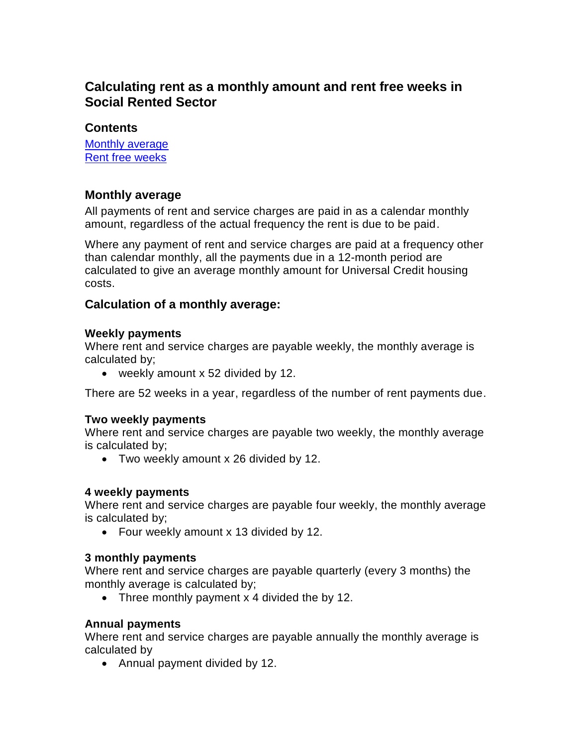# **Calculating rent as a monthly amount and rent free weeks in Social Rented Sector**

# **Contents**

[Monthly average](#page-0-0) [Rent free weeks](#page-1-0)

# <span id="page-0-0"></span>**Monthly average**

All payments of rent and service charges are paid in as a calendar monthly amount, regardless of the actual frequency the rent is due to be paid.

Where any payment of rent and service charges are paid at a frequency other than calendar monthly, all the payments due in a 12-month period are calculated to give an average monthly amount for Universal Credit housing costs.

## **Calculation of a monthly average:**

#### **Weekly payments**

Where rent and service charges are payable weekly, the monthly average is calculated by;

weekly amount x 52 divided by 12.

There are 52 weeks in a year, regardless of the number of rent payments due.

## **Two weekly payments**

Where rent and service charges are payable two weekly, the monthly average is calculated by;

Two weekly amount x 26 divided by 12.

## **4 weekly payments**

Where rent and service charges are payable four weekly, the monthly average is calculated by;

• Four weekly amount x 13 divided by 12.

## **3 monthly payments**

Where rent and service charges are payable quarterly (every 3 months) the monthly average is calculated by;

• Three monthly payment x 4 divided the by 12.

## **Annual payments**

Where rent and service charges are payable annually the monthly average is calculated by

• Annual payment divided by 12.